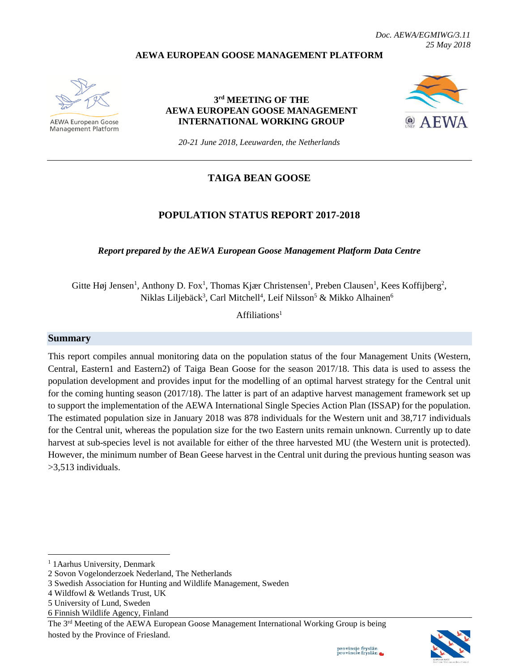*Doc. AEWA/EGMIWG/3.11 25 May 2018*

#### **AEWA EUROPEAN GOOSE MANAGEMENT PLATFORM**



AEWA European Goose **Management Platform** 

#### **3 rd MEETING OF THE AEWA EUROPEAN GOOSE MANAGEMENT INTERNATIONAL WORKING GROUP**



*20-21 June 2018, Leeuwarden, the Netherlands*

### **TAIGA BEAN GOOSE**

#### **POPULATION STATUS REPORT 2017-2018**

*Report prepared by the AEWA European Goose Management Platform Data Centre*

Gitte Høj Jensen<sup>1</sup>, Anthony D. Fox<sup>1</sup>, Thomas Kjær Christensen<sup>1</sup>, Preben Clausen<sup>1</sup>, Kees Koffijberg<sup>2</sup>, Niklas Liljebäck<sup>3</sup>, Carl Mitchell<sup>4</sup>, Leif Nilsson<sup>5</sup> & Mikko Alhainen<sup>6</sup>

 $Affiliations<sup>1</sup>$ 

#### **Summary**

This report compiles annual monitoring data on the population status of the four Management Units (Western, Central, Eastern1 and Eastern2) of Taiga Bean Goose for the season 2017/18. This data is used to assess the population development and provides input for the modelling of an optimal harvest strategy for the Central unit for the coming hunting season (2017/18). The latter is part of an adaptive harvest management framework set up to support the implementation of the AEWA International Single Species Action Plan (ISSAP) for the population. The estimated population size in January 2018 was 878 individuals for the Western unit and 38,717 individuals for the Central unit, whereas the population size for the two Eastern units remain unknown. Currently up to date harvest at sub-species level is not available for either of the three harvested MU (the Western unit is protected). However, the minimum number of Bean Geese harvest in the Central unit during the previous hunting season was >3,513 individuals.

 $\overline{\phantom{a}}$ 



<sup>&</sup>lt;sup>1</sup> 1 Aarhus University, Denmark

<sup>2</sup> Sovon Vogelonderzoek Nederland, The Netherlands

<sup>3</sup> Swedish Association for Hunting and Wildlife Management, Sweden

<sup>4</sup> Wildfowl & Wetlands Trust, UK

<sup>5</sup> University of Lund, Sweden

<sup>6</sup> Finnish Wildlife Agency, Finland

The 3<sup>rd</sup> Meeting of the AEWA European Goose Management International Working Group is being hosted by the Province of Friesland.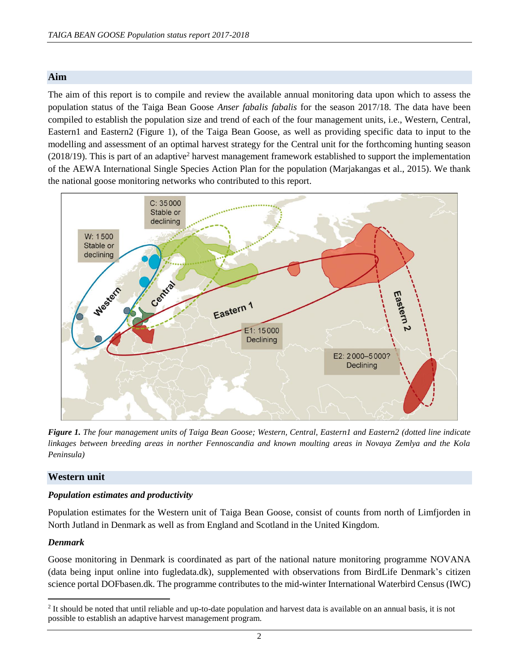### **Aim**

The aim of this report is to compile and review the available annual monitoring data upon which to assess the population status of the Taiga Bean Goose *Anser fabalis fabalis* for the season 2017/18. The data have been compiled to establish the population size and trend of each of the four management units, i.e., Western, Central, Eastern1 and Eastern2 (Figure 1), of the Taiga Bean Goose, as well as providing specific data to input to the modelling and assessment of an optimal harvest strategy for the Central unit for the forthcoming hunting season (2018/19). This is part of an adaptive<sup>2</sup> harvest management framework established to support the implementation of the AEWA International Single Species Action Plan for the population (Marjakangas et al., 2015). We thank the national goose monitoring networks who contributed to this report.



*Figure 1. The four management units of Taiga Bean Goose; Western, Central, Eastern1 and Eastern2 (dotted line indicate linkages between breeding areas in norther Fennoscandia and known moulting areas in Novaya Zemlya and the Kola Peninsula)*

#### **Western unit**

#### *Population estimates and productivity*

Population estimates for the Western unit of Taiga Bean Goose, consist of counts from north of Limfjorden in North Jutland in Denmark as well as from England and Scotland in the United Kingdom.

#### *Denmark*

 $\overline{a}$ 

Goose monitoring in Denmark is coordinated as part of the national nature monitoring programme NOVANA (data being input online into fugledata.dk), supplemented with observations from BirdLife Denmark's citizen science portal DOFbasen.dk. The programme contributes to the mid-winter International Waterbird Census (IWC)

 $<sup>2</sup>$  It should be noted that until reliable and up-to-date population and harvest data is available on an annual basis, it is not</sup> possible to establish an adaptive harvest management program.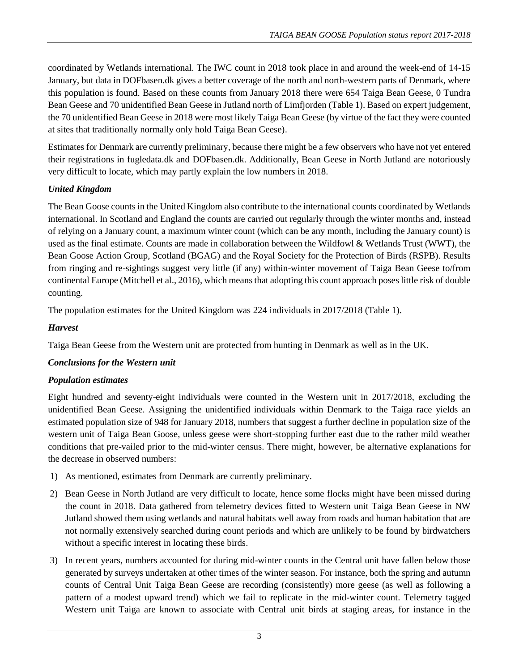coordinated by Wetlands international. The IWC count in 2018 took place in and around the week-end of 14-15 January, but data in DOFbasen.dk gives a better coverage of the north and north-western parts of Denmark, where this population is found. Based on these counts from January 2018 there were 654 Taiga Bean Geese, 0 Tundra Bean Geese and 70 unidentified Bean Geese in Jutland north of Limfjorden (Table 1). Based on expert judgement, the 70 unidentified Bean Geese in 2018 were most likely Taiga Bean Geese (by virtue of the fact they were counted at sites that traditionally normally only hold Taiga Bean Geese).

Estimates for Denmark are currently preliminary, because there might be a few observers who have not yet entered their registrations in fugledata.dk and DOFbasen.dk. Additionally, Bean Geese in North Jutland are notoriously very difficult to locate, which may partly explain the low numbers in 2018.

# *United Kingdom*

The Bean Goose counts in the United Kingdom also contribute to the international counts coordinated by Wetlands international. In Scotland and England the counts are carried out regularly through the winter months and, instead of relying on a January count, a maximum winter count (which can be any month, including the January count) is used as the final estimate. Counts are made in collaboration between the Wildfowl & Wetlands Trust (WWT), the Bean Goose Action Group, Scotland (BGAG) and the Royal Society for the Protection of Birds (RSPB). Results from ringing and re-sightings suggest very little (if any) within-winter movement of Taiga Bean Geese to/from continental Europe (Mitchell et al., 2016), which means that adopting this count approach poseslittle risk of double counting.

The population estimates for the United Kingdom was 224 individuals in 2017/2018 (Table 1).

# *Harvest*

Taiga Bean Geese from the Western unit are protected from hunting in Denmark as well as in the UK.

# *Conclusions for the Western unit*

# *Population estimates*

Eight hundred and seventy-eight individuals were counted in the Western unit in 2017/2018, excluding the unidentified Bean Geese. Assigning the unidentified individuals within Denmark to the Taiga race yields an estimated population size of 948 for January 2018, numbers that suggest a further decline in population size of the western unit of Taiga Bean Goose, unless geese were short-stopping further east due to the rather mild weather conditions that pre-vailed prior to the mid-winter census. There might, however, be alternative explanations for the decrease in observed numbers:

- 1) As mentioned, estimates from Denmark are currently preliminary.
- 2) Bean Geese in North Jutland are very difficult to locate, hence some flocks might have been missed during the count in 2018. Data gathered from telemetry devices fitted to Western unit Taiga Bean Geese in NW Jutland showed them using wetlands and natural habitats well away from roads and human habitation that are not normally extensively searched during count periods and which are unlikely to be found by birdwatchers without a specific interest in locating these birds.
- 3) In recent years, numbers accounted for during mid-winter counts in the Central unit have fallen below those generated by surveys undertaken at other times of the winter season. For instance, both the spring and autumn counts of Central Unit Taiga Bean Geese are recording (consistently) more geese (as well as following a pattern of a modest upward trend) which we fail to replicate in the mid-winter count. Telemetry tagged Western unit Taiga are known to associate with Central unit birds at staging areas, for instance in the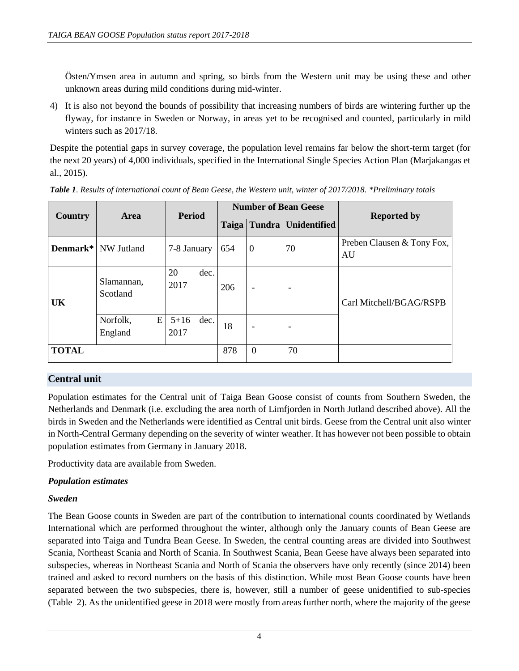Östen/Ymsen area in autumn and spring, so birds from the Western unit may be using these and other unknown areas during mild conditions during mid-winter.

4) It is also not beyond the bounds of possibility that increasing numbers of birds are wintering further up the flyway, for instance in Sweden or Norway, in areas yet to be recognised and counted, particularly in mild winters such as 2017/18.

Despite the potential gaps in survey coverage, the population level remains far below the short-term target (for the next 20 years) of 4,000 individuals, specified in the International Single Species Action Plan (Marjakangas et al., 2015).

| <b>Country</b> | <b>Area</b>                | <b>Period</b>            | <b>Number of Bean Geese</b> |                |                            | <b>Reported by</b>               |
|----------------|----------------------------|--------------------------|-----------------------------|----------------|----------------------------|----------------------------------|
|                |                            |                          | Taiga                       |                | <b>Tundra Unidentified</b> |                                  |
|                | <b>Denmark*</b> NW Jutland | 7-8 January              | 654                         | $\Omega$       | 70                         | Preben Clausen & Tony Fox,<br>AU |
| <b>UK</b>      | Slamannan,<br>Scotland     | 20<br>dec.<br>2017       | 206                         | ۰              | ٠                          | Carl Mitchell/BGAG/RSPB          |
|                | E<br>Norfolk,<br>England   | $5 + 16$<br>dec.<br>2017 | 18                          |                |                            |                                  |
| <b>TOTAL</b>   |                            |                          | 878                         | $\overline{0}$ | 70                         |                                  |

*Table 1. Results of international count of Bean Geese, the Western unit, winter of 2017/2018. \*Preliminary totals*

# **Central unit**

Population estimates for the Central unit of Taiga Bean Goose consist of counts from Southern Sweden, the Netherlands and Denmark (i.e. excluding the area north of Limfjorden in North Jutland described above). All the birds in Sweden and the Netherlands were identified as Central unit birds. Geese from the Central unit also winter in North-Central Germany depending on the severity of winter weather. It has however not been possible to obtain population estimates from Germany in January 2018.

Productivity data are available from Sweden.

# *Population estimates*

# *Sweden*

The Bean Goose counts in Sweden are part of the contribution to international counts coordinated by Wetlands International which are performed throughout the winter, although only the January counts of Bean Geese are separated into Taiga and Tundra Bean Geese. In Sweden, the central counting areas are divided into Southwest Scania, Northeast Scania and North of Scania. In Southwest Scania, Bean Geese have always been separated into subspecies, whereas in Northeast Scania and North of Scania the observers have only recently (since 2014) been trained and asked to record numbers on the basis of this distinction. While most Bean Goose counts have been separated between the two subspecies, there is, however, still a number of geese unidentified to sub-species (Table 2). As the unidentified geese in 2018 were mostly from areas further north, where the majority of the geese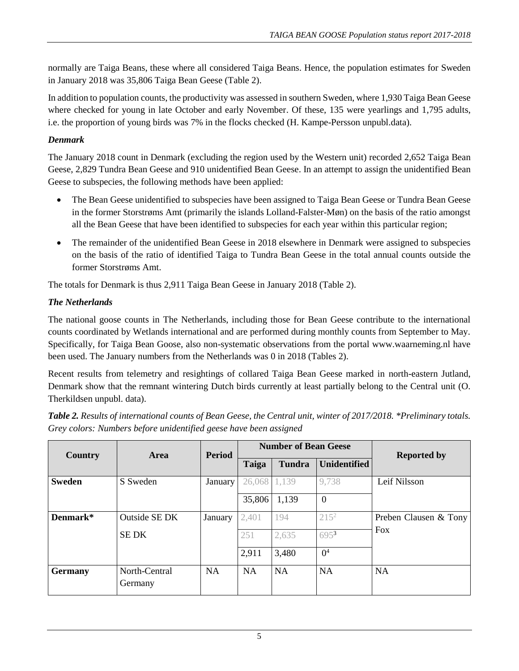normally are Taiga Beans, these where all considered Taiga Beans. Hence, the population estimates for Sweden in January 2018 was 35,806 Taiga Bean Geese (Table 2).

In addition to population counts, the productivity was assessed in southern Sweden, where 1,930 Taiga Bean Geese where checked for young in late October and early November. Of these, 135 were yearlings and 1,795 adults, i.e. the proportion of young birds was 7% in the flocks checked (H. Kampe-Persson unpubl.data).

# *Denmark*

The January 2018 count in Denmark (excluding the region used by the Western unit) recorded 2,652 Taiga Bean Geese, 2,829 Tundra Bean Geese and 910 unidentified Bean Geese. In an attempt to assign the unidentified Bean Geese to subspecies, the following methods have been applied:

- The Bean Geese unidentified to subspecies have been assigned to Taiga Bean Geese or Tundra Bean Geese in the former Storstrøms Amt (primarily the islands Lolland-Falster-Møn) on the basis of the ratio amongst all the Bean Geese that have been identified to subspecies for each year within this particular region;
- The remainder of the unidentified Bean Geese in 2018 elsewhere in Denmark were assigned to subspecies on the basis of the ratio of identified Taiga to Tundra Bean Geese in the total annual counts outside the former Storstrøms Amt.

The totals for Denmark is thus 2,911 Taiga Bean Geese in January 2018 (Table 2).

# *The Netherlands*

The national goose counts in The Netherlands, including those for Bean Geese contribute to the international counts coordinated by Wetlands international and are performed during monthly counts from September to May. Specifically, for Taiga Bean Goose, also non-systematic observations from the portal [www.waarneming.nl](http://www.waarneming.nl/) have been used. The January numbers from the Netherlands was 0 in 2018 (Tables 2).

Recent results from telemetry and resightings of collared Taiga Bean Geese marked in north-eastern Jutland, Denmark show that the remnant wintering Dutch birds currently at least partially belong to the Central unit (O. Therkildsen unpubl. data).

| Table 2. Results of international counts of Bean Geese, the Central unit, winter of 2017/2018. *Preliminary totals. |  |
|---------------------------------------------------------------------------------------------------------------------|--|
| Grey colors: Numbers before unidentified geese have been assigned                                                   |  |

| Country        | <b>Area</b>              | <b>Period</b> | <b>Number of Bean Geese</b> |               |                     | <b>Reported by</b>    |
|----------------|--------------------------|---------------|-----------------------------|---------------|---------------------|-----------------------|
|                |                          |               | Taiga                       | <b>Tundra</b> | <b>Unidentified</b> |                       |
| <b>Sweden</b>  | S Sweden                 | January       | 26,068                      | 1,139         | 9,738               | Leif Nilsson          |
|                |                          |               | 35,806                      | 1,139         | $\overline{0}$      |                       |
| Denmark*       | Outside SE DK            | January       | 2,401                       | 194           | $215^2$             | Preben Clausen & Tony |
|                | <b>SEDK</b>              |               | 251                         | 2,635         | 6953                | <b>Fox</b>            |
|                |                          |               | 2,911                       | 3,480         | 0 <sup>4</sup>      |                       |
| <b>Germany</b> | North-Central<br>Germany | <b>NA</b>     | <b>NA</b>                   | <b>NA</b>     | <b>NA</b>           | <b>NA</b>             |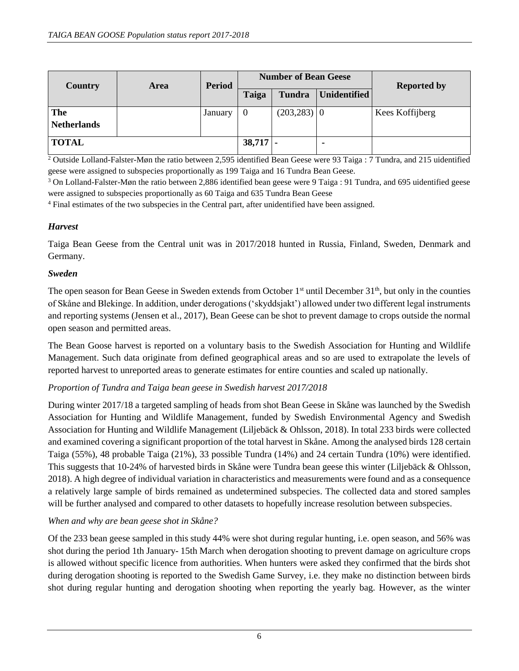| Country                   | <b>Area</b> | <b>Period</b> |            | <b>Number of Bean Geese</b> | <b>Reported by</b>  |                 |
|---------------------------|-------------|---------------|------------|-----------------------------|---------------------|-----------------|
|                           |             |               | Taiga      | Tundra                      | <b>Unidentified</b> |                 |
| The<br><b>Netherlands</b> |             | January       | 0          | $(203, 283)$ 0              |                     | Kees Koffijberg |
| <b>TOTAL</b>              |             |               | $38,717$ - |                             |                     |                 |

<sup>2</sup> Outside Lolland-Falster-Møn the ratio between 2,595 identified Bean Geese were 93 Taiga : 7 Tundra, and 215 uidentified geese were assigned to subspecies proportionally as 199 Taiga and 16 Tundra Bean Geese.

<sup>3</sup> On Lolland-Falster-Møn the ratio between 2,886 identified bean geese were 9 Taiga : 91 Tundra, and 695 uidentified geese were assigned to subspecies proportionally as 60 Taiga and 635 Tundra Bean Geese

<sup>4</sup> Final estimates of the two subspecies in the Central part, after unidentified have been assigned.

# *Harvest*

Taiga Bean Geese from the Central unit was in 2017/2018 hunted in Russia, Finland, Sweden, Denmark and Germany.

# *Sweden*

The open season for Bean Geese in Sweden extends from October  $1<sup>st</sup>$  until December  $31<sup>th</sup>$ , but only in the counties of Skåne and Blekinge. In addition, under derogations ('skyddsjakt') allowed under two different legal instruments and reporting systems (Jensen et al., 2017), Bean Geese can be shot to prevent damage to crops outside the normal open season and permitted areas.

The Bean Goose harvest is reported on a voluntary basis to the Swedish Association for Hunting and Wildlife Management. Such data originate from defined geographical areas and so are used to extrapolate the levels of reported harvest to unreported areas to generate estimates for entire counties and scaled up nationally.

# *Proportion of Tundra and Taiga bean geese in Swedish harvest 2017/2018*

During winter 2017/18 a targeted sampling of heads from shot Bean Geese in Skåne was launched by the Swedish Association for Hunting and Wildlife Management, funded by Swedish Environmental Agency and Swedish Association for Hunting and Wildlife Management (Liljebäck & Ohlsson, 2018). In total 233 birds were collected and examined covering a significant proportion of the total harvest in Skåne. Among the analysed birds 128 certain Taiga (55%), 48 probable Taiga (21%), 33 possible Tundra (14%) and 24 certain Tundra (10%) were identified. This suggests that 10-24% of harvested birds in Skåne were Tundra bean geese this winter (Liljebäck & Ohlsson, 2018). A high degree of individual variation in characteristics and measurements were found and as a consequence a relatively large sample of birds remained as undetermined subspecies. The collected data and stored samples will be further analysed and compared to other datasets to hopefully increase resolution between subspecies.

# *When and why are bean geese shot in Skåne?*

Of the 233 bean geese sampled in this study 44% were shot during regular hunting, i.e. open season, and 56% was shot during the period 1th January- 15th March when derogation shooting to prevent damage on agriculture crops is allowed without specific licence from authorities. When hunters were asked they confirmed that the birds shot during derogation shooting is reported to the Swedish Game Survey, i.e. they make no distinction between birds shot during regular hunting and derogation shooting when reporting the yearly bag. However, as the winter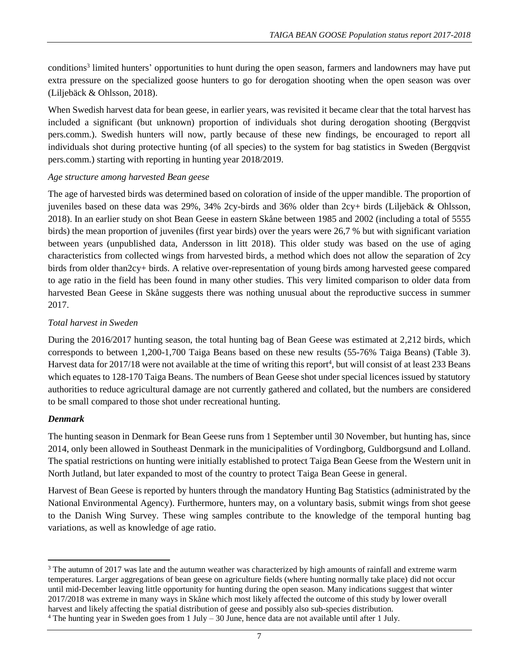conditions<sup>3</sup> limited hunters' opportunities to hunt during the open season, farmers and landowners may have put extra pressure on the specialized goose hunters to go for derogation shooting when the open season was over (Liljebäck & Ohlsson, 2018).

When Swedish harvest data for bean geese, in earlier years, was revisited it became clear that the total harvest has included a significant (but unknown) proportion of individuals shot during derogation shooting (Bergqvist pers.comm.). Swedish hunters will now, partly because of these new findings, be encouraged to report all individuals shot during protective hunting (of all species) to the system for bag statistics in Sweden (Bergqvist pers.comm.) starting with reporting in hunting year 2018/2019.

### *Age structure among harvested Bean geese*

The age of harvested birds was determined based on coloration of inside of the upper mandible. The proportion of juveniles based on these data was 29%, 34% 2cy-birds and 36% older than 2cy+ birds (Liljebäck & Ohlsson, 2018). In an earlier study on shot Bean Geese in eastern Skåne between 1985 and 2002 (including a total of 5555 birds) the mean proportion of juveniles (first year birds) over the years were 26,7 % but with significant variation between years (unpublished data, Andersson in litt 2018). This older study was based on the use of aging characteristics from collected wings from harvested birds, a method which does not allow the separation of 2cy birds from older than2cy+ birds. A relative over-representation of young birds among harvested geese compared to age ratio in the field has been found in many other studies. This very limited comparison to older data from harvested Bean Geese in Skåne suggests there was nothing unusual about the reproductive success in summer 2017.

### *Total harvest in Sweden*

During the 2016/2017 hunting season, the total hunting bag of Bean Geese was estimated at 2,212 birds, which corresponds to between 1,200-1,700 Taiga Beans based on these new results (55-76% Taiga Beans) (Table 3). Harvest data for 2017/18 were not available at the time of writing this report<sup>4</sup>, but will consist of at least 233 Beans which equates to 128-170 Taiga Beans. The numbers of Bean Geese shot under special licences issued by statutory authorities to reduce agricultural damage are not currently gathered and collated, but the numbers are considered to be small compared to those shot under recreational hunting.

#### *Denmark*

The hunting season in Denmark for Bean Geese runs from 1 September until 30 November, but hunting has, since 2014, only been allowed in Southeast Denmark in the municipalities of Vordingborg, Guldborgsund and Lolland. The spatial restrictions on hunting were initially established to protect Taiga Bean Geese from the Western unit in North Jutland, but later expanded to most of the country to protect Taiga Bean Geese in general.

Harvest of Bean Geese is reported by hunters through the mandatory Hunting Bag Statistics (administrated by the National Environmental Agency). Furthermore, hunters may, on a voluntary basis, submit wings from shot geese to the Danish Wing Survey. These wing samples contribute to the knowledge of the temporal hunting bag variations, as well as knowledge of age ratio.

 $\overline{\phantom{a}}$ <sup>3</sup> The autumn of 2017 was late and the autumn weather was characterized by high amounts of rainfall and extreme warm temperatures. Larger aggregations of bean geese on agriculture fields (where hunting normally take place) did not occur until mid-December leaving little opportunity for hunting during the open season. Many indications suggest that winter 2017/2018 was extreme in many ways in Skåne which most likely affected the outcome of this study by lower overall harvest and likely affecting the spatial distribution of geese and possibly also sub-species distribution.

 $4$  The hunting year in Sweden goes from 1 July – 30 June, hence data are not available until after 1 July.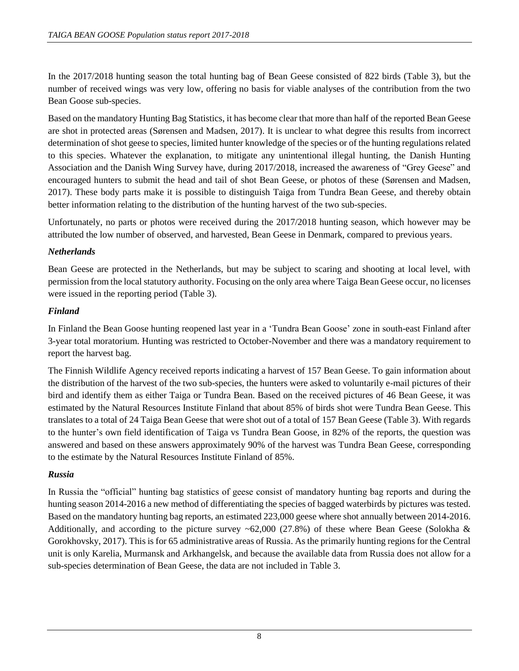In the 2017/2018 hunting season the total hunting bag of Bean Geese consisted of 822 birds (Table 3), but the number of received wings was very low, offering no basis for viable analyses of the contribution from the two Bean Goose sub-species.

Based on the mandatory Hunting Bag Statistics, it has become clear that more than half of the reported Bean Geese are shot in protected areas (Sørensen and Madsen, 2017). It is unclear to what degree this results from incorrect determination of shot geese to species, limited hunter knowledge of the species or of the hunting regulations related to this species. Whatever the explanation, to mitigate any unintentional illegal hunting, the Danish Hunting Association and the Danish Wing Survey have, during 2017/2018, increased the awareness of "Grey Geese" and encouraged hunters to submit the head and tail of shot Bean Geese, or photos of these (Sørensen and Madsen, 2017). These body parts make it is possible to distinguish Taiga from Tundra Bean Geese, and thereby obtain better information relating to the distribution of the hunting harvest of the two sub-species.

Unfortunately, no parts or photos were received during the 2017/2018 hunting season, which however may be attributed the low number of observed, and harvested, Bean Geese in Denmark, compared to previous years.

### *Netherlands*

Bean Geese are protected in the Netherlands, but may be subject to scaring and shooting at local level, with permission from the local statutory authority. Focusing on the only area where Taiga Bean Geese occur, no licenses were issued in the reporting period (Table 3).

### *Finland*

In Finland the Bean Goose hunting reopened last year in a 'Tundra Bean Goose' zone in south-east Finland after 3-year total moratorium. Hunting was restricted to October-November and there was a mandatory requirement to report the harvest bag.

The Finnish Wildlife Agency received reports indicating a harvest of 157 Bean Geese. To gain information about the distribution of the harvest of the two sub-species, the hunters were asked to voluntarily e-mail pictures of their bird and identify them as either Taiga or Tundra Bean. Based on the received pictures of 46 Bean Geese, it was estimated by the Natural Resources Institute Finland that about 85% of birds shot were Tundra Bean Geese. This translates to a total of 24 Taiga Bean Geese that were shot out of a total of 157 Bean Geese (Table 3). With regards to the hunter's own field identification of Taiga vs Tundra Bean Goose, in 82% of the reports, the question was answered and based on these answers approximately 90% of the harvest was Tundra Bean Geese, corresponding to the estimate by the Natural Resources Institute Finland of 85%.

# *Russia*

In Russia the "official" hunting bag statistics of geese consist of mandatory hunting bag reports and during the hunting season 2014-2016 a new method of differentiating the species of bagged waterbirds by pictures was tested. Based on the mandatory hunting bag reports, an estimated 223,000 geese where shot annually between 2014-2016. Additionally, and according to the picture survey  $\sim 62,000$  (27.8%) of these where Bean Geese (Solokha & Gorokhovsky, 2017). This is for 65 administrative areas of Russia. As the primarily hunting regions for the Central unit is only Karelia, Murmansk and Arkhangelsk, and because the available data from Russia does not allow for a sub-species determination of Bean Geese, the data are not included in Table 3.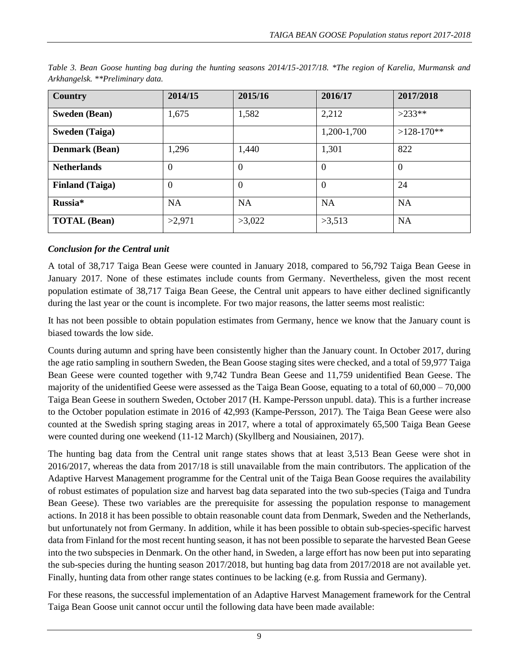| Country                | 2014/15        | 2015/16        | 2016/17        | 2017/2018      |
|------------------------|----------------|----------------|----------------|----------------|
| <b>Sweden (Bean)</b>   | 1,675          | 1,582          | 2,212          | $>233**$       |
| <b>Sweden (Taiga)</b>  |                |                | 1,200-1,700    | $>128-170**$   |
| <b>Denmark (Bean)</b>  | 1,296          | 1,440          | 1,301          | 822            |
| <b>Netherlands</b>     | $\overline{0}$ | $\overline{0}$ | $\overline{0}$ | $\overline{0}$ |
| <b>Finland</b> (Taiga) | $\overline{0}$ | $\overline{0}$ | $\overline{0}$ | 24             |
| Russia*                | <b>NA</b>      | <b>NA</b>      | <b>NA</b>      | <b>NA</b>      |
| <b>TOTAL</b> (Bean)    | >2,971         | >3,022         | >3,513         | <b>NA</b>      |

*Table 3. Bean Goose hunting bag during the hunting seasons 2014/15-2017/18. \*The region of Karelia, Murmansk and Arkhangelsk. \*\*Preliminary data.*

# *Conclusion for the Central unit*

A total of 38,717 Taiga Bean Geese were counted in January 2018, compared to 56,792 Taiga Bean Geese in January 2017. None of these estimates include counts from Germany. Nevertheless, given the most recent population estimate of 38,717 Taiga Bean Geese, the Central unit appears to have either declined significantly during the last year or the count is incomplete. For two major reasons, the latter seems most realistic:

It has not been possible to obtain population estimates from Germany, hence we know that the January count is biased towards the low side.

Counts during autumn and spring have been consistently higher than the January count. In October 2017, during the age ratio sampling in southern Sweden, the Bean Goose staging sites were checked, and a total of 59,977 Taiga Bean Geese were counted together with 9,742 Tundra Bean Geese and 11,759 unidentified Bean Geese. The majority of the unidentified Geese were assessed as the Taiga Bean Goose, equating to a total of  $60,000 - 70,000$ Taiga Bean Geese in southern Sweden, October 2017 (H. Kampe-Persson unpubl. data). This is a further increase to the October population estimate in 2016 of 42,993 (Kampe-Persson, 2017). The Taiga Bean Geese were also counted at the Swedish spring staging areas in 2017, where a total of approximately 65,500 Taiga Bean Geese were counted during one weekend (11-12 March) (Skyllberg and Nousiainen, 2017).

The hunting bag data from the Central unit range states shows that at least 3,513 Bean Geese were shot in 2016/2017, whereas the data from 2017/18 is still unavailable from the main contributors. The application of the Adaptive Harvest Management programme for the Central unit of the Taiga Bean Goose requires the availability of robust estimates of population size and harvest bag data separated into the two sub-species (Taiga and Tundra Bean Geese). These two variables are the prerequisite for assessing the population response to management actions. In 2018 it has been possible to obtain reasonable count data from Denmark, Sweden and the Netherlands, but unfortunately not from Germany. In addition, while it has been possible to obtain sub-species-specific harvest data from Finland for the most recent hunting season, it has not been possible to separate the harvested Bean Geese into the two subspecies in Denmark. On the other hand, in Sweden, a large effort has now been put into separating the sub-species during the hunting season 2017/2018, but hunting bag data from 2017/2018 are not available yet. Finally, hunting data from other range states continues to be lacking (e.g. from Russia and Germany).

For these reasons, the successful implementation of an Adaptive Harvest Management framework for the Central Taiga Bean Goose unit cannot occur until the following data have been made available: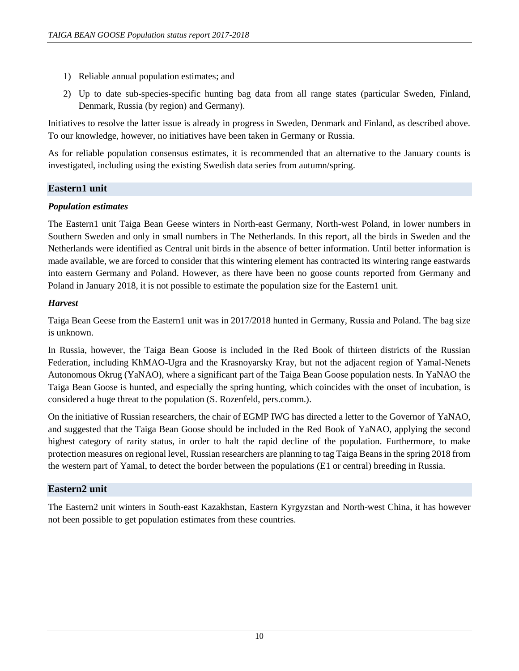- 1) Reliable annual population estimates; and
- 2) Up to date sub-species-specific hunting bag data from all range states (particular Sweden, Finland, Denmark, Russia (by region) and Germany).

Initiatives to resolve the latter issue is already in progress in Sweden, Denmark and Finland, as described above. To our knowledge, however, no initiatives have been taken in Germany or Russia.

As for reliable population consensus estimates, it is recommended that an alternative to the January counts is investigated, including using the existing Swedish data series from autumn/spring.

# **Eastern1 unit**

### *Population estimates*

The Eastern1 unit Taiga Bean Geese winters in North-east Germany, North-west Poland, in lower numbers in Southern Sweden and only in small numbers in The Netherlands. In this report, all the birds in Sweden and the Netherlands were identified as Central unit birds in the absence of better information. Until better information is made available, we are forced to consider that this wintering element has contracted its wintering range eastwards into eastern Germany and Poland. However, as there have been no goose counts reported from Germany and Poland in January 2018, it is not possible to estimate the population size for the Eastern1 unit.

# *Harvest*

Taiga Bean Geese from the Eastern1 unit was in 2017/2018 hunted in Germany, Russia and Poland. The bag size is unknown.

In Russia, however, the Taiga Bean Goose is included in the Red Book of thirteen districts of the Russian Federation, including KhMAO-Ugra and the Krasnoyarsky Kray, but not the adjacent region of Yamal-Nenets Autonomous Okrug (YaNAO), where a significant part of the Taiga Bean Goose population nests. In YaNAO the Taiga Bean Goose is hunted, and especially the spring hunting, which coincides with the onset of incubation, is considered a huge threat to the population (S. Rozenfeld, pers.comm.).

On the initiative of Russian researchers, the chair of EGMP IWG has directed a letter to the Governor of YaNAO, and suggested that the Taiga Bean Goose should be included in the Red Book of YaNAO, applying the second highest category of rarity status, in order to halt the rapid decline of the population. Furthermore, to make protection measures on regional level, Russian researchers are planning to tag Taiga Beans in the spring 2018 from the western part of Yamal, to detect the border between the populations (E1 or central) breeding in Russia.

# **Eastern2 unit**

The Eastern2 unit winters in South-east Kazakhstan, Eastern Kyrgyzstan and North-west China, it has however not been possible to get population estimates from these countries.